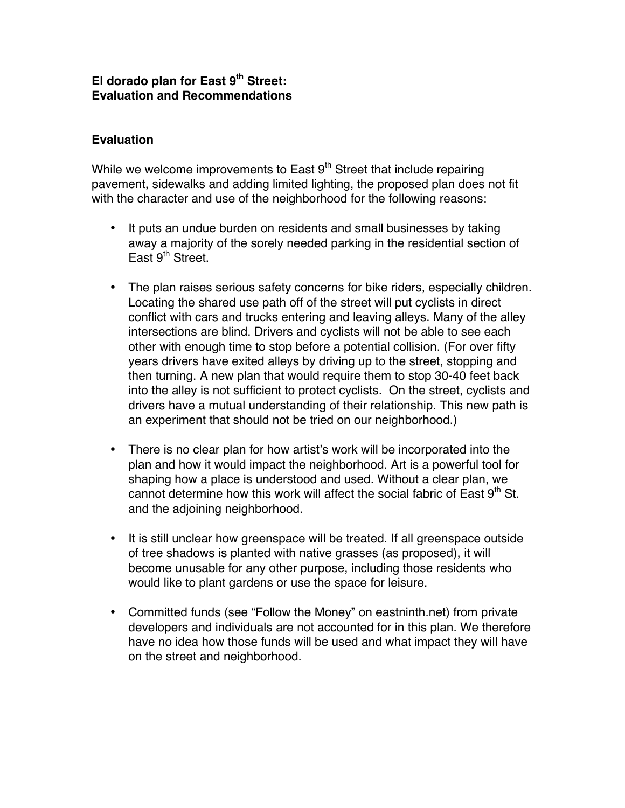## **El dorado plan for East 9th Street: Evaluation and Recommendations**

## **Evaluation**

While we welcome improvements to East  $9<sup>th</sup>$  Street that include repairing pavement, sidewalks and adding limited lighting, the proposed plan does not fit with the character and use of the neighborhood for the following reasons:

- It puts an undue burden on residents and small businesses by taking away a majority of the sorely needed parking in the residential section of East  $9<sup>th</sup>$  Street.
- The plan raises serious safety concerns for bike riders, especially children. Locating the shared use path off of the street will put cyclists in direct conflict with cars and trucks entering and leaving alleys. Many of the alley intersections are blind. Drivers and cyclists will not be able to see each other with enough time to stop before a potential collision. (For over fifty years drivers have exited alleys by driving up to the street, stopping and then turning. A new plan that would require them to stop 30-40 feet back into the alley is not sufficient to protect cyclists. On the street, cyclists and drivers have a mutual understanding of their relationship. This new path is an experiment that should not be tried on our neighborhood.)
- There is no clear plan for how artist's work will be incorporated into the plan and how it would impact the neighborhood. Art is a powerful tool for shaping how a place is understood and used. Without a clear plan, we cannot determine how this work will affect the social fabric of East  $9<sup>th</sup>$  St. and the adjoining neighborhood.
- It is still unclear how greenspace will be treated. If all greenspace outside of tree shadows is planted with native grasses (as proposed), it will become unusable for any other purpose, including those residents who would like to plant gardens or use the space for leisure.
- Committed funds (see "Follow the Money" on eastninth.net) from private developers and individuals are not accounted for in this plan. We therefore have no idea how those funds will be used and what impact they will have on the street and neighborhood.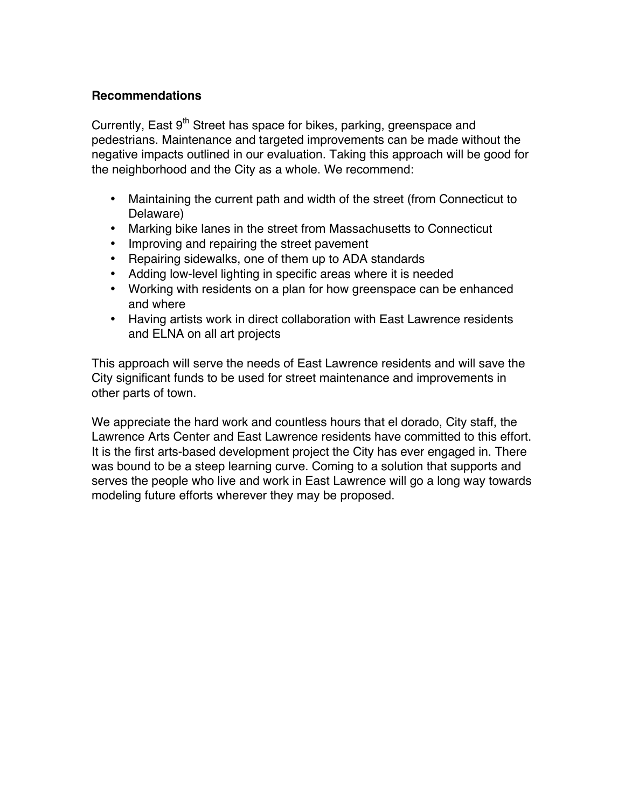## **Recommendations**

Currently, East  $9<sup>th</sup>$  Street has space for bikes, parking, greenspace and pedestrians. Maintenance and targeted improvements can be made without the negative impacts outlined in our evaluation. Taking this approach will be good for the neighborhood and the City as a whole. We recommend:

- Maintaining the current path and width of the street (from Connecticut to Delaware)
- Marking bike lanes in the street from Massachusetts to Connecticut
- Improving and repairing the street pavement
- Repairing sidewalks, one of them up to ADA standards
- Adding low-level lighting in specific areas where it is needed
- Working with residents on a plan for how greenspace can be enhanced and where
- Having artists work in direct collaboration with East Lawrence residents and ELNA on all art projects

This approach will serve the needs of East Lawrence residents and will save the City significant funds to be used for street maintenance and improvements in other parts of town.

We appreciate the hard work and countless hours that el dorado, City staff, the Lawrence Arts Center and East Lawrence residents have committed to this effort. It is the first arts-based development project the City has ever engaged in. There was bound to be a steep learning curve. Coming to a solution that supports and serves the people who live and work in East Lawrence will go a long way towards modeling future efforts wherever they may be proposed.